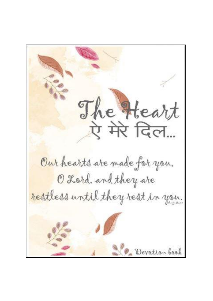The Heart Our hearts are made for you, O Lord, and they are restless until they rest in you. Devotion book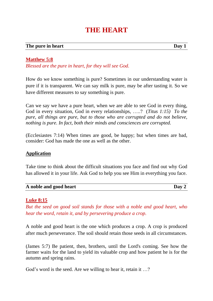# **THE HEART**

#### **The** pure in heart Day 1

**Matthew 5:8**

*Blessed are the pure in heart, for they will see God.*

How do we know something is pure? Sometimes in our understanding water is pure if it is transparent. We can say milk is pure, may be after tasting it. So we have different measures to say something is pure.

Can we say we have a pure heart, when we are able to see God in every thing, God in every situation, God in every relationships, …..? (*Titus 1:15) To the pure, all things are pure, but to those who are corrupted and do not believe, nothing is pure. In fact, both their minds and consciences are corrupted.*

(Ecclesiastes 7:14) When times are good, be happy; but when times are bad, consider: God has made the one as well as the other.

# **Application**

Take time to think about the difficult situations you face and find out why God has allowed it in your life. Ask God to help you see Him in everything you face.

| A noble and good heart | Day 2 |
|------------------------|-------|
|------------------------|-------|

# **Luke 8:15**

*But the seed on good soil stands for those with a noble and good heart, who hear the word, retain it, and by persevering produce a crop.*

A noble and good heart is the one which produces a crop. A crop is produced after much perseverance. The soil should retain those seeds in all circumstances.

(James 5:7) Be patient, then, brothers, until the Lord's coming. See how the farmer waits for the land to yield its valuable crop and how patient he is for the autumn and spring rains.

God's word is the seed. Are we willing to hear it, retain it ...?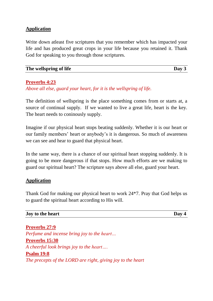# **Application**

Write down atleast five scriptures that you remember which has impacted your life and has produced great crops in your life because you retained it. Thank God for speaking to you through those scriptures.

| The wellspring of life | Day 3 |
|------------------------|-------|
|                        |       |

# **Proverbs 4:23**

*Above all else, guard your heart, for it is the wellspring of life.*

The definition of wellspring is the place something comes from or starts at, a source of continual supply. If we wanted to live a great life, heart is the key. The heart needs to coninously supply.

Imagine if our physical heart stops beating suddenly. Whether it is our heart or our family members' heart or anybody's it is dangerous. So much of awareness we can see and hear to guard that physical heart.

In the same way, there is a chance of our spiritual heart stopping suddenly. It is going to be more dangerous if that stops. How much efforts are we making to guard our spiritual heart? The scripture says above all else, guard your heart.

# **Application**

Thank God for making our physical heart to work 24\*7. Pray that God helps us to guard the spiritual heart according to His will.

#### **Ioy to** the heart Day 4

**Proverbs 27:9** *Perfume and incense bring joy to the heart…* **Proverbs 15:30** *A cheerful look brings joy to the heart….* **Psalm 19:8** *The precepts of the LORD are right, giving joy to the heart*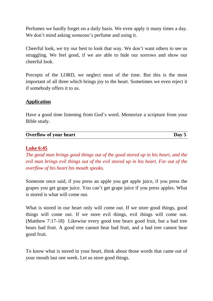Perfumes we hardly forget on a daily basis. We even apply it many times a day. We don't mind asking someone's perfume and using it.

Cheerful look, we try our best to look that way. We don't want others to see us struggling. We feel good, if we are able to hide our sorrows and show our cheerful look.

Precepts of the LORD, we neglect most of the time. But this is the most important of all three which brings joy to the heart. Sometimes we even reject it if somebody offers it to us.

# **Application**

Have a good time listening from God's word. Memorize a scripture from your Bible study.

| <b>Overflow of your heart</b> | $\bf{Day}$ |
|-------------------------------|------------|

# **Luke 6:45**

*The good man brings good things out of the good stored up in his heart, and the evil man brings evil things out of the evil stored up in his heart. For out of the overflow of his heart his mouth speaks.*

Someone once said, if you press an apple you get apple juice, if you press the grapes you get grape juice. You can't get grape juice if you press apples. What is stored is what will come out.

What is stored in our heart only will come out. If we store good things, good things will come out. If we store evil things, evil things will come out. (Matthew 7:17-18) Likewise every good tree bears good fruit, but a bad tree bears bad fruit. A good tree cannot bear bad fruit, and a bad tree cannot bear good fruit.

To know what is stored in your heart, think about those words that came out of your mouth last one week. Let us store good things.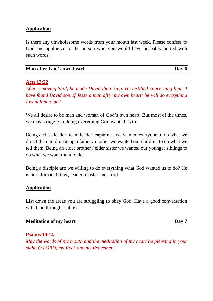# **Application**

Is there any unwholesome words from your mouth last week. Please confess to God and apologize to the person who you would have probably hurted with such words.

| Man after God's own heart | Day 6 |
|---------------------------|-------|
|---------------------------|-------|

#### **Acts 13:22**

*After removing Saul, he made David their king. He testified concerning him: 'I have found David son of Jesse a man after my own heart; he will do everything I want him to do.'*

We all desire to be man and woman of God's own heart. But most of the times, we may struggle in doing everything God wanted us to.

Being a class leader, team leader, captain… we wanted everyone to do what we direct them to do. Being a father / mother we wanted our children to do what we tell them. Being an elder brother / elder sister we wanted our younger siblings to do what we want them to do.

Being a disciple are we willing to do everything what God wanted us to do? He is our ultimate father, leader, master and Lord.

# **Application**

List down the areas you are struggling to obey God. Have a good conversation with God through that list.

| <b>Meditation of my heart</b> | Day |
|-------------------------------|-----|
|-------------------------------|-----|

# **Psalms 19:14**

*May the words of my mouth and the meditation of my heart be pleasing in your sight, O LORD, my Rock and my Redeemer.*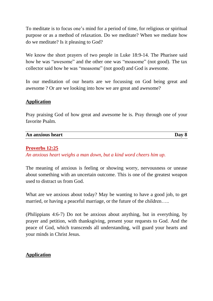To meditate is to focus one's mind for a period of time, for religious or spiritual purpose or as a method of relaxation. Do we meditate? When we mediate how do we meditate? Is it pleasing to God?

We know the short prayers of two people in Luke 18:9-14. The Pharisee said how he was "awesome" and the other one was "moasome" (not good). The tax collector said how he was "moasome" (not good) and God is awesome.

In our meditation of our hearts are we focussing on God being great and awesome ? Or are we looking into how we are great and awesome?

# **Application**

Pray praising God of how great and awesome he is. Pray through one of your favorite Psalm.

| An anxious heart | Dav |
|------------------|-----|

# **Proverbs 12:25**

*An anxious heart weighs a man down, but a kind word cheers him up.*

The meaning of anxious is feeling or showing worry, nervousness or unease about something with an uncertain outcome. This is one of the greatest weapon used to distract us from God.

What are we anxious about today? May be wanting to have a good job, to get married, or having a peaceful marriage, or the future of the children.....

(Philippians 4:6-7) Do not be anxious about anything, but in everything, by prayer and petition, with thanksgiving, present your requests to God. And the peace of God, which transcends all understanding, will guard your hearts and your minds in Christ Jesus.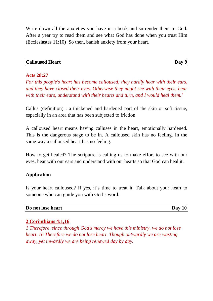Write down all the anxieties you have in a book and surrender them to God. After a year try to read them and see what God has done when you trust Him (Ecclesiastes 11:10) So then, banish anxiety from your heart.

#### **Calloused Heart Day 9**

#### **Acts 28:27**

*For this people's heart has become calloused; they hardly hear with their ears, and they have closed their eyes. Otherwise they might see with their eyes, hear with their ears, understand with their hearts and turn, and I would heal them.'*

Callus (definition) : a thickened and hardened part of the skin or soft tissue, especially in an area that has been subjected to friction.

A calloused heart means having calluses in the heart, emotionally hardened. This is the dangerous stage to be in. A calloused skin has no feeling. In the same way a calloused heart has no feeling.

How to get healed? The scriputre is calling us to make effort to see with our eyes, hear with our ears and understand with our hearts so that God can heal it.

#### **Application**

Is your heart calloused? If yes, it's time to treat it. Talk about your heart to someone who can guide you with God's word.

#### **Do not lose heart Day 10**

# **2 Corinthians 4:1,16**

*1 Therefore, since through God's mercy we have this ministry, we do not lose heart. 16 Therefore we do not lose heart. Though outwardly we are wasting away, yet inwardly we are being renewed day by day.*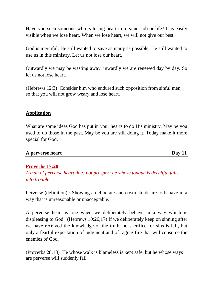Have you seen someone who is losing heart in a game, job or life? It is easily visible when we lose heart. When we lose heart, we will not give our best.

God is merciful. He still wanted to save as many as possible. He still wanted to use us in this ministry. Let us not lose our heart.

Outwardly we may be wasting away, inwardly we are renewed day by day. So let us not lose heart.

(Hebrews 12:3) Consider him who endured such opposition from sinful men, so that you will not grow weary and lose heart.

# **Application**

What are some ideas God has put in your hearts to do His ministry. May be you used to do those in the past. May be you are still doing it. Today make it more special for God.

| A perverse heart | Day |
|------------------|-----|

# **Proverbs 17:20**

*A man of perverse heart does not prosper; he whose tongue is deceitful falls into trouble.*

Perverse (definition) : Showing a deliberate and obstinate desire to behave in a way that is unreasonable or unacceptable.

A perverse heart is one when we deliberately behave in a way which is displeasing to God. (Hebrews 10:26,17) If we deliberately keep on sinning after we have received the knowledge of the truth, no sacrifice for sins is left, but only a fearful expectation of judgment and of raging fire that will consume the enemies of God.

(Proverbs 28:18) He whose walk is blameless is kept safe, but he whose ways are perverse will suddenly fall.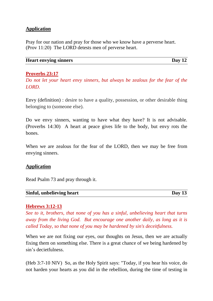# **Application**

Pray for our nation and pray for those who we know have a perverse heart. (Prov 11:20) The LORD detests men of perverse heart.

#### **Heart envying sinners Day 12**

# **Proverbs 23:17**

*Do not let your heart envy sinners, but always be zealous for the fear of the LORD.*

Envy (definition) : desire to have a quality, possession, or other desirable thing belonging to (someone else).

Do we envy sinners, wanting to have what they have? It is not advisable. (Proverbs 14:30) A heart at peace gives life to the body, but envy rots the bones.

When we are zealous for the fear of the LORD, then we may be free from envying sinners.

#### **Application**

Read Psalm 73 and pray through it.

| Sinful, unbelieving heart | Day $13$ |
|---------------------------|----------|
|                           |          |

# **Hebrews 3:12-13**

*See to it, brothers, that none of you has a sinful, unbelieving heart that turns away from the living God. But encourage one another daily, as long as it is called Today, so that none of you may be hardened by sin's deceitfulness.*

When we are not fixing our eyes, our thoughts on Jesus, then we are actually fixing them on something else. There is a great chance of we being hardened by sin's decietfulness.

(Heb 3:7-10 NIV) So, as the Holy Spirit says: "Today, if you hear his voice, do not harden your hearts as you did in the rebellion, during the time of testing in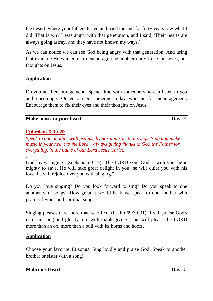the desert, where your fathers tested and tried me and for forty years saw what I did. That is why I was angry with that generation, and I said, 'Their hearts are always going astray, and they have not known my ways.'

As we can notice we can see God being angry with that generation. And using that example He wanted us to encourage one another daily to fix our eyes, our thoughts on Jesus.

# **Application**

Do you need encouragement? Spend time with someone who can listen to you and encourage. Or encourage someone today who needs encouragement. Encourage them to fix their eyes and their thoughts on Jesus.

# **Make music in your heart Day 14**

# **Ephesians 5:19-20**

*,*

*Speak to one another with psalms, hymns and spiritual songs. Sing and make music in your heart to the Lord , always giving thanks to God the Father for everything, in the name of our Lord Jesus Christ.*

God loves singing. (Zephaniah 3:17) The LORD your God is with you, he is mighty to save. He will take great delight in you, he will quiet you with his love, he will rejoice over you with singing."

Do you love singing? Do you look forward to sing? Do you speak to one another with songs? How great it would be if we speak to one another with psalms, hymns and spiritual songs.

Singing pleases God more than sacrifice. (Psalm 69:30-31) I will praise God's name in song and glorify him with thanksgiving. This will please the LORD more than an ox, more than a bull with its horns and hoofs.

# **Application**

Choose your favorite 10 songs. Sing loudly and praise God. Speak to another brother or sister with a song!

| <b>Malicious Heart</b> | Day 15 |
|------------------------|--------|
|                        |        |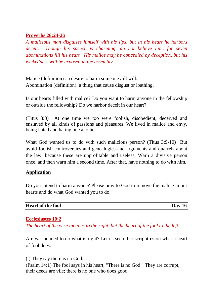# **Proverbs 26:24-26**

*A malicious man disguises himself with his lips, but in his heart he harbors deceit. Though his speech is charming, do not believe him, for seven abominations fill his heart. His malice may be concealed by deception, but his wickedness will be exposed in the assembly.*

Malice (definition) : a desire to harm someone / ill will. Abomination (definition): a thing that cause disgust or loathing.

Is our hearts filled with malice? Do you want to harm anyone in the fellowship or outside the fellowship? Do we harbor deceit in our heart?

(Titus 3:3) At one time we too were foolish, disobedient, deceived and enslaved by all kinds of passions and pleasures. We lived in malice and envy, being hated and hating one another.

What God wanted us to do with such malicious person? (Titus 3:9-10) But avoid foolish controversies and genealogies and arguments and quarrels about the law, because these are unprofitable and useless. Warn a divisive person once, and then warn him a second time. After that, have nothing to do with him.

# **Application**

Do you intend to harm anyone? Please pray to God to remove the malice in our hearts and do what God wanted you to do.

| <b>Heart of the fool</b> | Day |
|--------------------------|-----|
|                          |     |

# **Ecclesiastes 10:2**

*The heart of the wise inclines to the right, but the heart of the fool to the left.*

Are we inclined to do what is right? Let us see other scriputres on what a heart of fool does.

(i) They say there is no God.

(Psalm 14:1) The fool says in his heart, "There is no God." They are corrupt, their deeds are vile; there is no one who does good.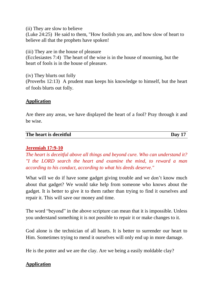(ii) They are slow to believe

(Luke 24:25) He said to them, "How foolish you are, and how slow of heart to believe all that the prophets have spoken!

(iii) They are in the house of pleasure

(Ecclesiastes 7:4) The heart of the wise is in the house of mourning, but the heart of fools is in the house of pleasure.

(iv) They blurts out folly (Proverbs 12:13) A prudent man keeps his knowledge to himself, but the heart of fools blurts out folly.

# **Application**

Are there any areas, we have displayed the heart of a fool? Pray through it and be wise.

| The heart is deceitful | Day |
|------------------------|-----|

# **Jeremiah 17:9-10**

*The heart is deceitful above all things and beyond cure. Who can understand it? "I the LORD search the heart and examine the mind, to reward a man according to his conduct, according to what his deeds deserve."*

What will we do if have some gadget giving trouble and we don't know much about that gadget? We would take help from someone who knows about the gadget. It is better to give it to them rather than trying to find it ourselves and repair it. This will save our money and time.

The word "beyond" in the above scripture can mean that it is impossible. Unless you understand something it is not possible to repair it or make changes to it.

God alone is the technician of all hearts. It is better to surrender our heart to Him. Sometimes trying to mend it ourselves will only end up in more damage.

He is the potter and we are the clay. Are we being a easily moldable clay?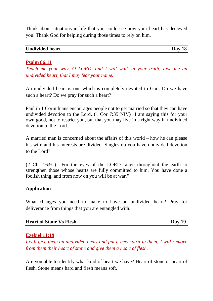Think about situations in life that you could see how your heart has decieved you. Thank God for helping during those times to rely on him.

| <b>Undivided heart</b> | Day 18 |
|------------------------|--------|
|------------------------|--------|

# **Psalm 86:11**

*Teach me your way, O LORD, and I will walk in your truth; give me an undivided heart, that I may fear your name.*

An undivided heart is one which is completely devoted to God. Do we have such a heart? Do we pray for such a heart?

Paul in 1 Corinthians encourages people not to get married so that they can have undivided devotion to the Lord. (1 Cor 7:35 NIV) I am saying this for your own good, not to restrict you, but that you may live in a right way in undivided devotion to the Lord.

A married man is concerned about the affairs of this world – how he can please his wife and his interests are divided. Singles do you have undivided devotion to the Lord?

(2 Chr 16:9 ) For the eyes of the LORD range throughout the earth to strengthen those whose hearts are fully committed to him. You have done a foolish thing, and from now on you will be at war."

# **Application**

What changes you need to make to have an undivided heart? Pray for deliverance from things that you are entangled with.

| <b>Heart of Stone Vs Flesh</b><br>Day 19 |  |
|------------------------------------------|--|
|------------------------------------------|--|

# **Ezekiel 11:19**

*I will give them an undivided heart and put a new spirit in them; I will remove from them their heart of stone and give them a heart of flesh.*

Are you able to identify what kind of heart we have? Heart of stone or heart of flesh. Stone means hard and flesh means soft.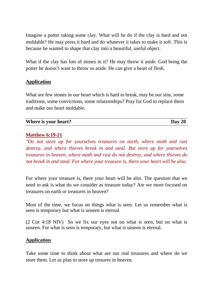Imagine a potter taking some clay. What will he do if the clay is hard and not moldable? He may press it hard and do whatever it takes to make it soft. This is because he wanted to shape that clay into a beautiful, useful object.

What if the clay has lots of stones in it? He may throw it aside. God being the potter he doesn't want to throw us aside. He can give a heart of flesh.

# **Application**

What are few stones in our heart which is hard to break, may be our sins, some traditions, some convictions, some relationships? Pray for God to replace them and make our heart moldable.

**Where** is your heart? Day 20

# **Matthew 6:19-21**

*"Do not store up for yourselves treasures on earth, where moth and rust destroy, and where thieves break in and steal. But store up for yourselves treasures in heaven, where moth and rust do not destroy, and where thieves do not break in and steal. For where your treasure is, there your heart will be also.*

For where your treasure is, there your heart will be also. The question that we need to ask is what do we consider as treasure today? Are we more focused on treasures on earth or treasures in heaven?

Most of the time, we focus on things what is seen. Let us remember what is seen is temporary but what is unseen is eternal.

(2 Cor 4:18 NIV) So we fix our eyes not on what is seen, but on what is unseen. For what is seen is temporary, but what is unseen is eternal.

# **Application**

Take some time to think about what are our real treasures and where do we store them. Let us plan to store up tresures in heaven.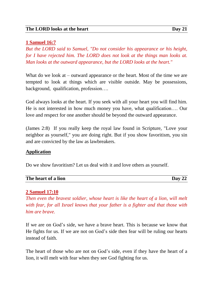# **1 Samuel 16:7**

*But the LORD said to Samuel, "Do not consider his appearance or his height, for I have rejected him. The LORD does not look at the things man looks at. Man looks at the outward appearance, but the LORD looks at the heart."*

What do we look at – outward appearance or the heart. Most of the time we are tempted to look at things which are visible outside. May be possessions, background, qualification, profession….

God always looks at the heart. If you seek with all your heart you will find him. He is not interested in how much money you have, what qualification…. Our love and respect for one another should be beyond the outward appearance.

(James 2:8) If you really keep the royal law found in Scripture, "Love your neighbor as yourself," you are doing right. But if you show favoritism, you sin and are convicted by the law as lawbreakers.

# **Application**

Do we show favoritism? Let us deal with it and love others as yourself.

| The heart of a lion | Day 22 |
|---------------------|--------|
|                     |        |

# **2 Samuel 17:10**

*Then even the bravest soldier, whose heart is like the heart of a lion, will melt with fear, for all Israel knows that your father is a fighter and that those with him are brave.*

If we are on God's side, we have a brave heart. This is because we know that He fights for us. If we are not on God's side then fear will be ruling our hearts instead of faith.

The heart of those who are not on God's side, even if they have the heart of a lion, it will melt with fear when they see God fighting for us.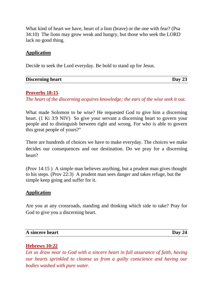What kind of heart we have, heart of a lion (brave) or the one with fear? (Psa 34:10) The lions may grow weak and hungry, but those who seek the LORD lack no good thing.

# **Application**

Decide to seek the Lord everyday. Be bold to stand up for Jesus.

| <b>Discerning heart</b> | Day $23$ |
|-------------------------|----------|
|                         |          |

#### **Proverbs 18:15**

*The heart of the discerning acquires knowledge; the ears of the wise seek it out.*

What made Solomon to be wise? He requested God to give him a discerning heart. (1 Ki 3:9 NIV) So give your servant a discerning heart to govern your people and to distinguish between right and wrong. For who is able to govern this great people of yours?"

There are hundreds of choices we have to make everyday. The choices we make decides our consequences and our destination. Do we pray for a discerning heart?

(Prov 14:15 ) A simple man believes anything, but a prudent man gives thought to his steps. (Prov 22:3) A prudent man sees danger and takes refuge, but the simple keep going and suffer for it.

# **Application**

Are you at any crossroads, standing and thinking which side to take? Pray for God to give you a discerning heart.

| Day 24 |
|--------|
|        |

# **Hebrews 10:22**

*Let us draw near to God with a sincere heart in full assurance of faith, having our hearts sprinkled to cleanse us from a guilty conscience and having our bodies washed with pure water.*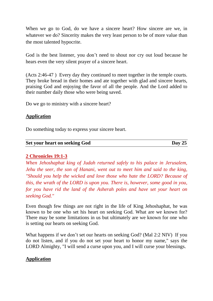When we go to God, do we have a sincere heart? How sincere are we, in whatever we do? Sincerity makes the very least person to be of more value than the most talented hypocrite.

God is the best listener, you don't need to shout nor cry out loud because he hears even the very silent prayer of a sincere heart.

(Acts 2:46-47 ) Every day they continued to meet together in the temple courts. They broke bread in their homes and ate together with glad and sincere hearts, praising God and enjoying the favor of all the people. And the Lord added to their number daily those who were being saved.

Do we go to ministry with a sincere heart?

#### **Application**

Do something today to express your sincere heart.

| Set your heart on seeking God | Day $25$ |
|-------------------------------|----------|
|                               |          |

# **2 Chronicles 19:1-3**

*When Jehoshaphat king of Judah returned safely to his palace in Jerusalem, Jehu the seer, the son of Hanani, went out to meet him and said to the king, "Should you help the wicked and love those who hate the LORD? Because of this, the wrath of the LORD is upon you. There is, however, some good in you, for you have rid the land of the Asherah poles and have set your heart on seeking God."*

Even though few things are not right in the life of King Jehoshaphat, he was known to be one who set his heart on seeking God. What are we known for? There may be some limitations in us but ultimately are we known for one who is setting our hearts on seeking God.

What happens if we don't set our hearts on seeking God? (Mal 2:2 NIV) If you do not listen, and if you do not set your heart to honor my name," says the LORD Almighty, "I will send a curse upon you, and I will curse your blessings.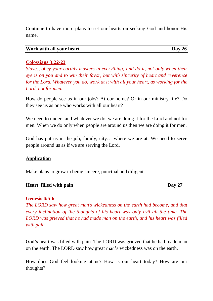Continue to have more plans to set our hearts on seeking God and honor His name.

| Work with all your heart | Day $26$ |  |
|--------------------------|----------|--|
|--------------------------|----------|--|

# **Colossians 3:22-23**

*Slaves, obey your earthly masters in everything; and do it, not only when their eye is on you and to win their favor, but with sincerity of heart and reverence for the Lord. Whatever you do, work at it with all your heart, as working for the Lord, not for men.*

How do people see us in our jobs? At our home? Or in our ministry life? Do they see us as one who works with all our heart?

We need to understand whatever we do, we are doing it for the Lord and not for men. When we do only when people are around us then we are doing it for men.

God has put us in the job, family, city… where we are at. We need to serve people around us as if we are serving the Lord.

# **Application**

Make plans to grow in being sincere, punctual and diligent.

| Heart filled with pain | Day $27$ |
|------------------------|----------|
|                        |          |

# **Genesis 6:5-6**

*The LORD saw how great man's wickedness on the earth had become, and that every inclination of the thoughts of his heart was only evil all the time. The LORD was grieved that he had made man on the earth, and his heart was filled with pain.*

God's heart was filled with pain. The LORD was grieved that he had made man on the earth. The LORD saw how great man's wickedness was on the earth.

How does God feel looking at us? How is our heart today? How are our thoughts?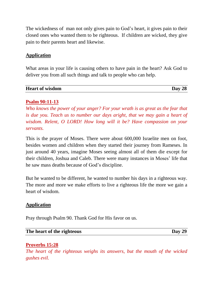The wickedness of man not only gives pain to God's heart, it gives pain to their closed ones who wanted them to be righteous. If children are wicked, they give pain to their parents heart and likewise.

# **Application**

What areas in your life is causing others to have pain in the heart? Ask God to deliver you from all such things and talk to people who can help.

| <b>Heart of wisdom</b> | Day<br>40 |
|------------------------|-----------|

# **Psalm 90:11-13**

*Who knows the power of your anger? For your wrath is as great as the fear that is due you. Teach us to number our days aright, that we may gain a heart of wisdom. Relent, O LORD! How long will it be? Have compassion on your servants.*

This is the prayer of Moses. There were about 600,000 Israelite men on foot, besides women and children when they started their journey from Rameses. In just around 40 years, imagine Moses seeing almost all of them die except for their children, Joshua and Caleb. There were many instances in Moses' life that he saw mass deaths because of God's discipline.

But he wanted to be different, he wanted to number his days in a righteous way. The more and more we make efforts to live a righteous life the more we gain a heart of wisdom.

# **Application**

Pray through Psalm 90. Thank God for His favor on us.

**The heart of the righteous Day 29**

# **Proverbs 15:28**

*The heart of the righteous weighs its answers, but the mouth of the wicked gushes evil.*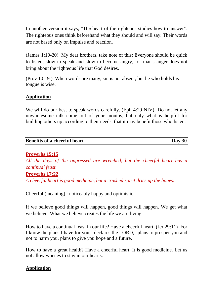In another version it says, "The heart of the righteous studies how to answer". The righteous ones think beforehand what they should and will say. Their words are not based only on impulse and reaction.

(James 1:19-20) My dear brothers, take note of this: Everyone should be quick to listen, slow to speak and slow to become angry, for man's anger does not bring about the righteous life that God desires.

(Prov 10:19 ) When words are many, sin is not absent, but he who holds his tongue is wise.

# **Application**

We will do our best to speak words carefully. (Eph 4:29 NIV) Do not let any unwholesome talk come out of your mouths, but only what is helpful for building others up according to their needs, that it may benefit those who listen.

| <b>Benefits of a cheerful heart</b> | Day $30$ |
|-------------------------------------|----------|

# **Proverbs 15:15**

*All the days of the oppressed are wretched, but the cheerful heart has a continual feast.*

# **Proverbs 17:22**

*A cheerful heart is good medicine, but a crushed spirit dries up the bones.*

Cheerful (meaning) : noticeably happy and optimistic.

If we believe good things will happen, good things will happen. We get what we believe. What we believe creates the life we are living.

How to have a continual feast in our life? Have a cheerful heart. (Jer 29:11) For I know the plans I have for you," declares the LORD, "plans to prosper you and not to harm you, plans to give you hope and a future.

How to have a great health? Have a cheerful heart. It is good medicine. Let us not allow worries to stay in our hearts.